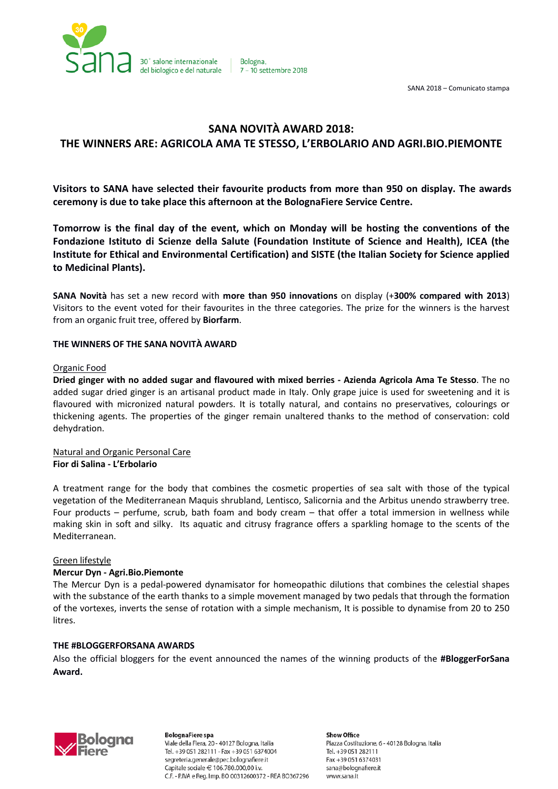

Bologna. 7 - 10 settembre 2018

SANA 2018 – Comunicato stampa

## **SANA NOVITÀ AWARD 2018:**

# **THE WINNERS ARE: AGRICOLA AMA TE STESSO, L'ERBOLARIO AND AGRI.BIO.PIEMONTE**

**Visitors to SANA have selected their favourite products from more than 950 on display. The awards ceremony is due to take place this afternoon at the BolognaFiere Service Centre.**

**Tomorrow is the final day of the event, which on Monday will be hosting the conventions of the Fondazione Istituto di Scienze della Salute (Foundation Institute of Science and Health), ICEA (the Institute for Ethical and Environmental Certification) and SISTE (the Italian Society for Science applied to Medicinal Plants).**

**SANA Novità** has set a new record with **more than 950 innovations** on display (+**300% compared with 2013**) Visitors to the event voted for their favourites in the three categories. The prize for the winners is the harvest from an organic fruit tree, offered by **Biorfarm**.

## **THE WINNERS OF THE SANA NOVITÀ AWARD**

#### Organic Food

**Dried ginger with no added sugar and flavoured with mixed berries - Azienda Agricola Ama Te Stesso**. The no added sugar dried ginger is an artisanal product made in Italy. Only grape juice is used for sweetening and it is flavoured with micronized natural powders. It is totally natural, and contains no preservatives, colourings or thickening agents. The properties of the ginger remain unaltered thanks to the method of conservation: cold dehydration.

Natural and Organic Personal Care **Fior di Salina - L'Erbolario**

A treatment range for the body that combines the cosmetic properties of sea salt with those of the typical vegetation of the Mediterranean Maquis shrubland, Lentisco, Salicornia and the Arbitus unendo strawberry tree. Four products – perfume, scrub, bath foam and body cream – that offer a total immersion in wellness while making skin in soft and silky. Its aquatic and citrusy fragrance offers a sparkling homage to the scents of the Mediterranean.

## Green lifestyle

## **Mercur Dyn - Agri.Bio.Piemonte**

The Mercur Dyn is a pedal-powered dynamisator for homeopathic dilutions that combines the celestial shapes with the substance of the earth thanks to a simple movement managed by two pedals that through the formation of the vortexes, inverts the sense of rotation with a simple mechanism, It is possible to dynamise from 20 to 250 litres.

## **THE #BLOGGERFORSANA AWARDS**

Also the official bloggers for the event announced the names of the winning products of the **#BloggerForSana Award.**



**BolognaFiere** spa Viale della Fiera, 20 - 40127 Bologna, Italia Tel. +39 051 282111 - Fax +39 051 6374004 segreteria.generale@pec.bolognafiere.it Capitale sociale € 106.780.000,00 i.v. C.F. - P.IVA e Reg. Imp. BO 00312600372 - REA BO367296

**Show Office** Piazza Costituzione, 6 - 40128 Bologna, Italia Tel. +39 051 282111 Fax +39 051 6374031 sana@bolognafiere.it www.sana.it